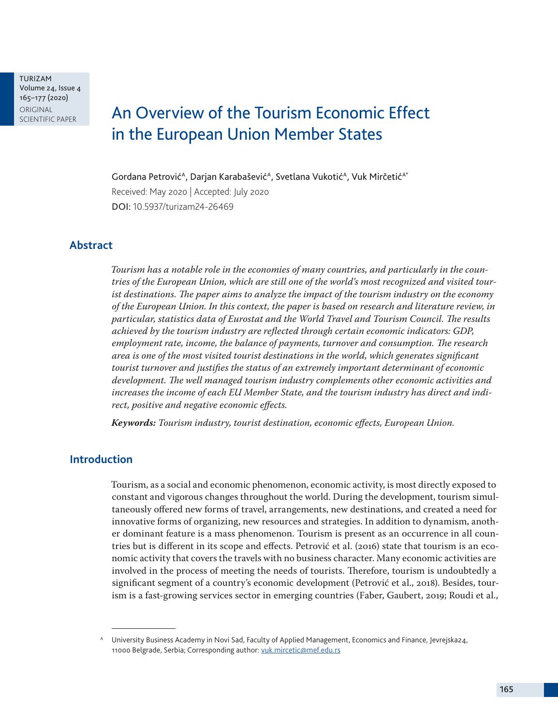TURIZAM Volume 24, Issue 4 165–177 (2020) ORIGINAL<br>SCIENTIFIC PAPER

# An Overview of the Tourism Economic Effect in the European Union Member States

Gordana Petrović<sup>A</sup>, Darjan Karabašević<sup>A</sup>, Svetlana Vukotić<sup>A</sup>, Vuk Mirčetić<sup>A\*</sup> Received: May 2020 | Accepted: July 2020 DOI: 10.5937/turizam24-26469

## **Abstract**

*Tourism has a notable role in the economies of many countries, and particularly in the countries of the European Union, which are still one of the world's most recognized and visited tourist destinations. The paper aims to analyze the impact of the tourism industry on the economy of the European Union. In this context, the paper is based on research and literature review, in particular, statistics data of Eurostat and the World Travel and Tourism Council. The results achieved by the tourism industry are reflected through certain economic indicators: GDP, employment rate, income, the balance of payments, turnover and consumption. The research area is one of the most visited tourist destinations in the world, which generates significant tourist turnover and justifies the status of an extremely important determinant of economic development. The well managed tourism industry complements other economic activities and increases the income of each EU Member State, and the tourism industry has direct and indirect, positive and negative economic effects.*

*Keywords: Tourism industry, tourist destination, economic effects, European Union.*

# **Introduction**

Tourism, as a social and economic phenomenon, economic activity, is most directly exposed to constant and vigorous changes throughout the world. During the development, tourism simultaneously offered new forms of travel, arrangements, new destinations, and created a need for innovative forms of organizing, new resources and strategies. In addition to dynamism, another dominant feature is a mass phenomenon. Tourism is present as an occurrence in all countries but is different in its scope and effects. Petrović et al. (2016) state that tourism is an economic activity that covers the travels with no business character. Many economic activities are involved in the process of meeting the needs of tourists. Therefore, tourism is undoubtedly a significant segment of a country's economic development (Petrović et al., 2018). Besides, tourism is a fast-growing services sector in emerging countries (Faber, Gaubert, 2019; Roudi et al.,

<sup>A</sup> University Business Academy in Novi Sad, Faculty of Applied Management, Economics and Finance, Jevrejska24, 11000 Belgrade, Serbia; Corresponding author: [vuk.mircetic@mef.edu.rs](mailto:vuk.mircetic%40mef.edu.rs?subject=)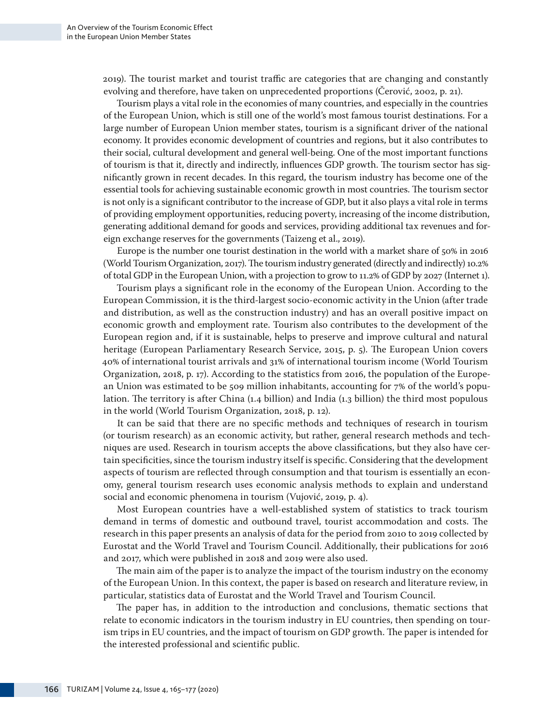2019). The tourist market and tourist traffic are categories that are changing and constantly evolving and therefore, have taken on unprecedented proportions (Čerović, 2002, p. 21).

Tourism plays a vital role in the economies of many countries, and especially in the countries of the European Union, which is still one of the world's most famous tourist destinations. For a large number of European Union member states, tourism is a significant driver of the national economy. It provides economic development of countries and regions, but it also contributes to their social, cultural development and general well-being. One of the most important functions of tourism is that it, directly and indirectly, influences GDP growth. The tourism sector has significantly grown in recent decades. In this regard, the tourism industry has become one of the essential tools for achieving sustainable economic growth in most countries. The tourism sector is not only is a significant contributor to the increase of GDP, but it also plays a vital role in terms of providing employment opportunities, reducing poverty, increasing of the income distribution, generating additional demand for goods and services, providing additional tax revenues and foreign exchange reserves for the governments (Taizeng et al., 2019).

Europe is the number one tourist destination in the world with a market share of 50% in 2016 (World Tourism Organization, 2017). The tourism industry generated (directly and indirectly) 10.2% of total GDP in the European Union, with a projection to grow to 11.2% of GDP by 2027 (Internet 1).

Tourism plays a significant role in the economy of the European Union. According to the European Commission, it is the third-largest socio-economic activity in the Union (after trade and distribution, as well as the construction industry) and has an overall positive impact on economic growth and employment rate. Tourism also contributes to the development of the European region and, if it is sustainable, helps to preserve and improve cultural and natural heritage (European Parliamentary Research Service, 2015, p. 5). The European Union covers 40% of international tourist arrivals and 31% of international tourism income (World Tourism Organization, 2018, p. 17). According to the statistics from 2016, the population of the European Union was estimated to be 509 million inhabitants, accounting for 7% of the world's population. The territory is after China (1.4 billion) and India (1.3 billion) the third most populous in the world (World Tourism Organization, 2018, p. 12).

It can be said that there are no specific methods and techniques of research in tourism (or tourism research) as an economic activity, but rather, general research methods and techniques are used. Research in tourism accepts the above classifications, but they also have certain specificities, since the tourism industry itself is specific. Considering that the development aspects of tourism are reflected through consumption and that tourism is essentially an economy, general tourism research uses economic analysis methods to explain and understand social and economic phenomena in tourism (Vujović, 2019, p. 4).

Most European countries have a well-established system of statistics to track tourism demand in terms of domestic and outbound travel, tourist accommodation and costs. The research in this paper presents an analysis of data for the period from 2010 to 2019 collected by Eurostat and the World Travel and Tourism Council. Additionally, their publications for 2016 and 2017, which were published in 2018 and 2019 were also used.

The main aim of the paper is to analyze the impact of the tourism industry on the economy of the European Union. In this context, the paper is based on research and literature review, in particular, statistics data of Eurostat and the World Travel and Tourism Council.

The paper has, in addition to the introduction and conclusions, thematic sections that relate to economic indicators in the tourism industry in EU countries, then spending on tourism trips in EU countries, and the impact of tourism on GDP growth. The paper is intended for the interested professional and scientific public.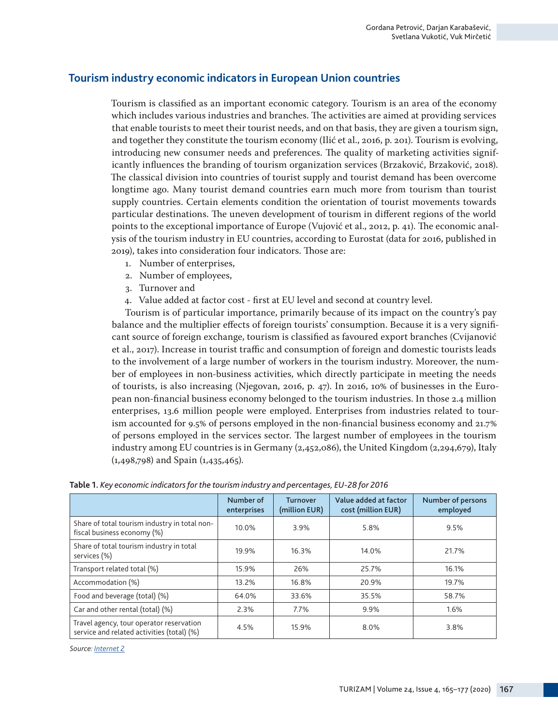# **Tourism industry economic indicators in European Union countries**

Tourism is classified as an important economic category. Tourism is an area of the economy which includes various industries and branches. The activities are aimed at providing services that enable tourists to meet their tourist needs, and on that basis, they are given a tourism sign, and together they constitute the tourism economy (Ilić et al., 2016, p. 201). Tourism is evolving, introducing new consumer needs and preferences. The quality of marketing activities significantly influences the branding of tourism organization services (Brzaković, Brzaković, 2018). The classical division into countries of tourist supply and tourist demand has been overcome longtime ago. Many tourist demand countries earn much more from tourism than tourist supply countries. Certain elements condition the orientation of tourist movements towards particular destinations. The uneven development of tourism in different regions of the world points to the exceptional importance of Europe (Vujović et al., 2012, p. 41). The economic analysis of the tourism industry in EU countries, according to Eurostat (data for 2016, published in 2019), takes into consideration four indicators. Those are:

- 1. Number of enterprises,
- 2. Number of employees,
- 3. Turnover and
- 4. Value added at factor cost first at EU level and second at country level.

Tourism is of particular importance, primarily because of its impact on the country's pay balance and the multiplier effects of foreign tourists' consumption. Because it is a very significant source of foreign exchange, tourism is classified as favoured export branches (Cvijanović et al., 2017). Increase in tourist traffic and consumption of foreign and domestic tourists leads to the involvement of a large number of workers in the tourism industry. Moreover, the number of employees in non-business activities, which directly participate in meeting the needs of tourists, is also increasing (Njegovan, 2016, p. 47). In 2016, 10% of businesses in the European non-financial business economy belonged to the tourism industries. In those 2.4 million enterprises, 13.6 million people were employed. Enterprises from industries related to tourism accounted for 9.5% of persons employed in the non-financial business economy and 21.7% of persons employed in the services sector. The largest number of employees in the tourism industry among EU countries is in Germany (2,452,086), the United Kingdom (2,294,679), Italy (1,498,798) and Spain (1,435,465).

|                                                                                        | Number of<br>enterprises | Value added at factor<br><b>Turnover</b><br>(million EUR)<br>cost (million EUR) |       | Number of persons<br>employed |  |
|----------------------------------------------------------------------------------------|--------------------------|---------------------------------------------------------------------------------|-------|-------------------------------|--|
| Share of total tourism industry in total non-<br>fiscal business economy (%)           | 10.0%                    | 3.9%                                                                            | 5.8%  | 9.5%                          |  |
| Share of total tourism industry in total<br>services (%)                               | 19.9%                    | 16.3%                                                                           | 14.0% | 21.7%                         |  |
| Transport related total (%)                                                            | 15.9%                    | 26%                                                                             | 25.7% | 16.1%                         |  |
| Accommodation (%)                                                                      | 13.2%                    | 16.8%                                                                           | 20.9% | 19.7%                         |  |
| Food and beverage (total) (%)                                                          | 64.0%                    | 33.6%                                                                           | 35.5% | 58.7%                         |  |
| Car and other rental (total) (%)                                                       | 2.3%                     | $7.7\%$                                                                         | 9.9%  | 1.6%                          |  |
| Travel agency, tour operator reservation<br>service and related activities (total) (%) | 4.5%                     | 15.9%                                                                           | 8.0%  | 3.8%                          |  |

| Table 1. Key economic indicators for the tourism industry and percentages, EU-28 for 2016 |  |  |
|-------------------------------------------------------------------------------------------|--|--|
|                                                                                           |  |  |

*Source: [Internet 2](https://ec.europa.eu/eurostat/statistics-explained/index.php?title=Tourism_industries_-_economic_analysis%20)*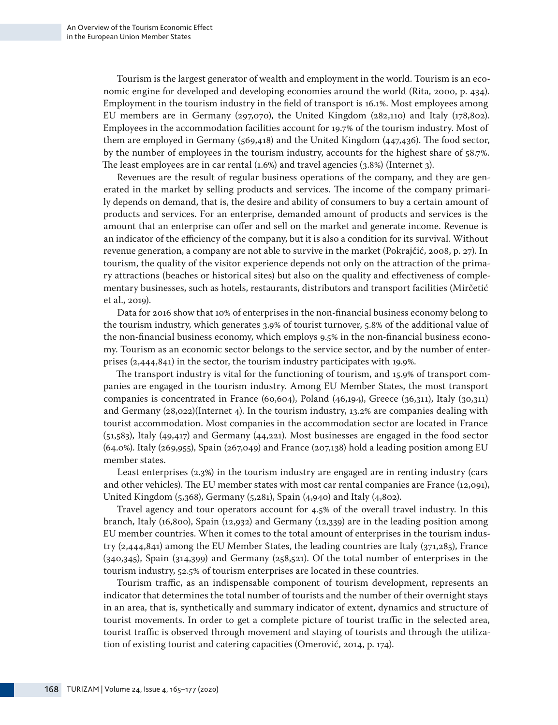Tourism is the largest generator of wealth and employment in the world. Tourism is an economic engine for developed and developing economies around the world (Rita, 2000, p. 434). Employment in the tourism industry in the field of transport is 16.1%. Most employees among EU members are in Germany (297,070), the United Kingdom (282,110) and Italy (178,802). Employees in the accommodation facilities account for 19.7% of the tourism industry. Most of them are employed in Germany (569,418) and the United Kingdom (447,436). The food sector, by the number of employees in the tourism industry, accounts for the highest share of 58.7%. The least employees are in car rental (1.6%) and travel agencies (3.8%) (Internet 3).

Revenues are the result of regular business operations of the company, and they are generated in the market by selling products and services. The income of the company primarily depends on demand, that is, the desire and ability of consumers to buy a certain amount of products and services. For an enterprise, demanded amount of products and services is the amount that an enterprise can offer and sell on the market and generate income. Revenue is an indicator of the efficiency of the company, but it is also a condition for its survival. Without revenue generation, a company are not able to survive in the market (Pokrajčić, 2008, p. 27). In tourism, the quality of the visitor experience depends not only on the attraction of the primary attractions (beaches or historical sites) but also on the quality and effectiveness of complementary businesses, such as hotels, restaurants, distributors and transport facilities (Mirčetić et al., 2019).

Data for 2016 show that 10% of enterprises in the non-financial business economy belong to the tourism industry, which generates 3.9% of tourist turnover, 5.8% of the additional value of the non-financial business economy, which employs 9.5% in the non-financial business economy. Tourism as an economic sector belongs to the service sector, and by the number of enterprises (2,444,841) in the sector, the tourism industry participates with 19.9%.

The transport industry is vital for the functioning of tourism, and 15.9% of transport companies are engaged in the tourism industry. Among EU Member States, the most transport companies is concentrated in France (60,604), Poland (46,194), Greece (36,311), Italy (30,311) and Germany (28,022)(Internet 4). In the tourism industry, 13.2% are companies dealing with tourist accommodation. Most companies in the accommodation sector are located in France (51,583), Italy (49,417) and Germany (44,221). Most businesses are engaged in the food sector (64.0%). Italy (269,955), Spain (267,049) and France (207,138) hold a leading position among EU member states.

Least enterprises (2.3%) in the tourism industry are engaged are in renting industry (cars and other vehicles). The EU member states with most car rental companies are France (12,091), United Kingdom (5,368), Germany (5,281), Spain (4,940) and Italy (4,802).

Travel agency and tour operators account for 4.5% of the overall travel industry. In this branch, Italy (16,800), Spain (12,932) and Germany (12,339) are in the leading position among EU member countries. When it comes to the total amount of enterprises in the tourism industry (2,444,841) among the EU Member States, the leading countries are Italy (371,285), France (340,345), Spain (314,399) and Germany (258,521). Of the total number of enterprises in the tourism industry, 52.5% of tourism enterprises are located in these countries.

Tourism traffic, as an indispensable component of tourism development, represents an indicator that determines the total number of tourists and the number of their overnight stays in an area, that is, synthetically and summary indicator of extent, dynamics and structure of tourist movements. In order to get a complete picture of tourist traffic in the selected area, tourist traffic is observed through movement and staying of tourists and through the utilization of existing tourist and catering capacities (Omerović, 2014, p. 174).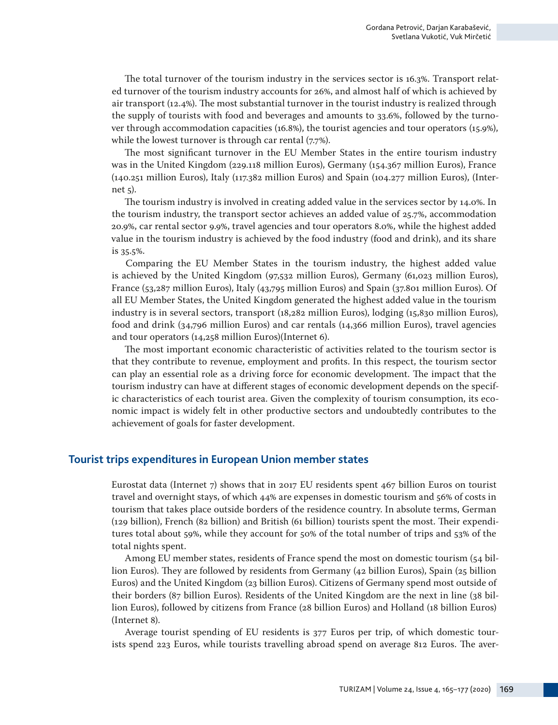The total turnover of the tourism industry in the services sector is 16.3%. Transport related turnover of the tourism industry accounts for 26%, and almost half of which is achieved by air transport (12.4%). The most substantial turnover in the tourist industry is realized through the supply of tourists with food and beverages and amounts to 33.6%, followed by the turnover through accommodation capacities (16.8%), the tourist agencies and tour operators (15.9%), while the lowest turnover is through car rental (7.7%).

The most significant turnover in the EU Member States in the entire tourism industry was in the United Kingdom (229.118 million Euros), Germany (154.367 million Euros), France (140.251 million Euros), Italy (117.382 million Euros) and Spain (104.277 million Euros), (Internet 5).

The tourism industry is involved in creating added value in the services sector by 14.0%. In the tourism industry, the transport sector achieves an added value of 25.7%, accommodation 20.9%, car rental sector 9.9%, travel agencies and tour operators 8.0%, while the highest added value in the tourism industry is achieved by the food industry (food and drink), and its share is 35.5%.

Comparing the EU Member States in the tourism industry, the highest added value is achieved by the United Kingdom (97,532 million Euros), Germany (61,023 million Euros), France (53,287 million Euros), Italy (43,795 million Euros) and Spain (37.801 million Euros). Of all EU Member States, the United Kingdom generated the highest added value in the tourism industry is in several sectors, transport (18,282 million Euros), lodging (15,830 million Euros), food and drink (34,796 million Euros) and car rentals (14,366 million Euros), travel agencies and tour operators (14,258 million Euros)(Internet 6).

The most important economic characteristic of activities related to the tourism sector is that they contribute to revenue, employment and profits. In this respect, the tourism sector can play an essential role as a driving force for economic development. The impact that the tourism industry can have at different stages of economic development depends on the specific characteristics of each tourist area. Given the complexity of tourism consumption, its economic impact is widely felt in other productive sectors and undoubtedly contributes to the achievement of goals for faster development.

#### **Tourist trips expenditures in European Union member states**

Eurostat data (Internet 7) shows that in 2017 EU residents spent 467 billion Euros on tourist travel and overnight stays, of which 44% are expenses in domestic tourism and 56% of costs in tourism that takes place outside borders of the residence country. In absolute terms, German (129 billion), French (82 billion) and British (61 billion) tourists spent the most. Their expenditures total about 59%, while they account for 50% of the total number of trips and 53% of the total nights spent.

Among EU member states, residents of France spend the most on domestic tourism (54 billion Euros). They are followed by residents from Germany (42 billion Euros), Spain (25 billion Euros) and the United Kingdom (23 billion Euros). Citizens of Germany spend most outside of their borders (87 billion Euros). Residents of the United Kingdom are the next in line (38 billion Euros), followed by citizens from France (28 billion Euros) and Holland (18 billion Euros) (Internet 8).

Average tourist spending of EU residents is 377 Euros per trip, of which domestic tourists spend 223 Euros, while tourists travelling abroad spend on average 812 Euros. The aver-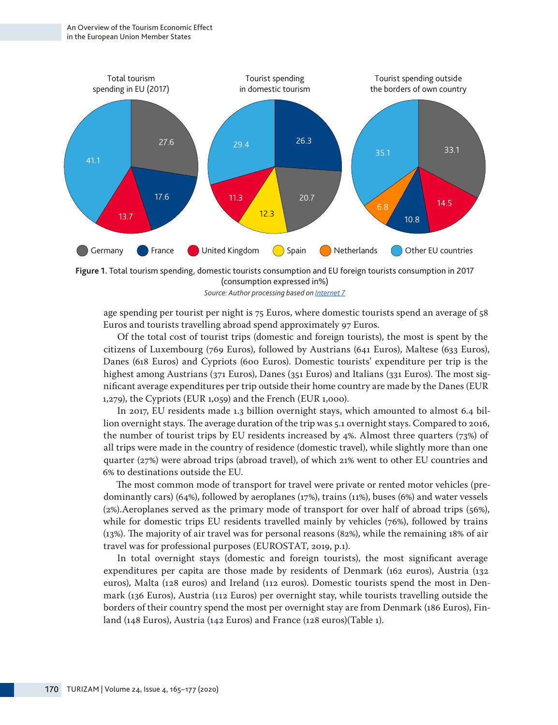



age spending per tourist per night is 75 Euros, where domestic tourists spend an average of 58 Euros and tourists travelling abroad spend approximately 97 Euros.

Of the total cost of tourist trips (domestic and foreign tourists), the most is spent by the citizens of Luxembourg (769 Euros), followed by Austrians (641 Euros), Maltese (633 Euros), Danes (618 Euros) and Cypriots (600 Euros). Domestic tourists' expenditure per trip is the highest among Austrians (371 Euros), Danes (351 Euros) and Italians (331 Euros). The most significant average expenditures per trip outside their home country are made by the Danes (EUR 1,279), the Cypriots (EUR 1,059) and the French (EUR 1,000).

In 2017, EU residents made 1.3 billion overnight stays, which amounted to almost 6.4 billion overnight stays. The average duration of the trip was 5.1 overnight stays. Compared to 2016, the number of tourist trips by EU residents increased by 4%. Almost three quarters (73%) of all trips were made in the country of residence (domestic travel), while slightly more than one quarter (27%) were abroad trips (abroad travel), of which 21% went to other EU countries and 6% to destinations outside the EU.

The most common mode of transport for travel were private or rented motor vehicles (predominantly cars) (64%), followed by aeroplanes (17%), trains (11%), buses (6%) and water vessels (2%).Aeroplanes served as the primary mode of transport for over half of abroad trips (56%), while for domestic trips EU residents travelled mainly by vehicles (76%), followed by trains (13%). The majority of air travel was for personal reasons (82%), while the remaining 18% of air travel was for professional purposes (EUROSTAT, 2019, p.1).

In total overnight stays (domestic and foreign tourists), the most significant average expenditures per capita are those made by residents of Denmark (162 euros), Austria (132 euros), Malta (128 euros) and Ireland (112 euros). Domestic tourists spend the most in Denmark (136 Euros), Austria (112 Euros) per overnight stay, while tourists travelling outside the borders of their country spend the most per overnight stay are from Denmark (186 Euros), Finland (148 Euros), Austria (142 Euros) and France (128 euros)(Table 1).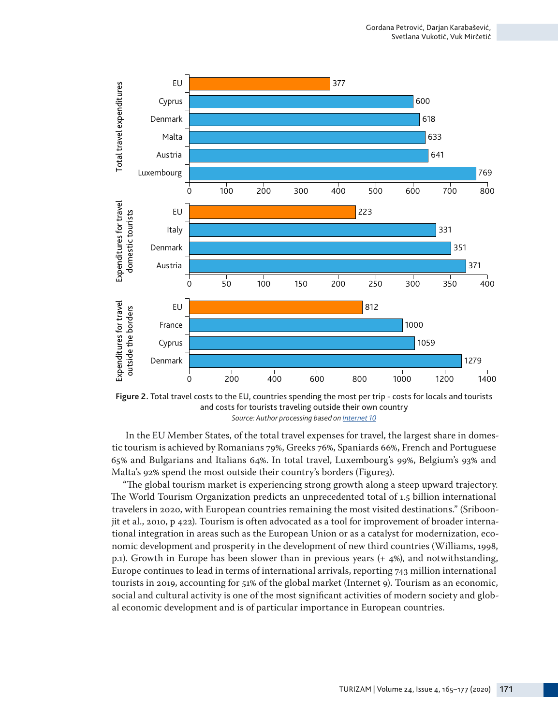

**Figure 2.** Total travel costs to the EU, countries spending the most per trip - costs for locals and tourists and costs for tourists traveling outside their own country *Source: Author processing based on [Internet 10](https://www.wttc.org/datagateway)*

In the EU Member States, of the total travel expenses for travel, the largest share in domestic tourism is achieved by Romanians 79%, Greeks 76%, Spaniards 66%, French and Portuguese 65% and Bulgarians and Italians 64%. In total travel, Luxembourg's 99%, Belgium's 93% and Malta's 92% spend the most outside their country's borders (Figure3).

"The global tourism market is experiencing strong growth along a steep upward trajectory. The World Tourism Organization predicts an unprecedented total of 1.5 billion international travelers in 2020, with European countries remaining the most visited destinations." (Sriboonjit et al., 2010, p 422). Tourism is often advocated as a tool for improvement of broader international integration in areas such as the European Union or as a catalyst for modernization, economic development and prosperity in the development of new third countries (Williams, 1998, p.1). Growth in Europe has been slower than in previous years (+ 4%), and notwithstanding, Europe continues to lead in terms of international arrivals, reporting 743 million international tourists in 2019, accounting for 51% of the global market (Internet 9). Tourism as an economic, social and cultural activity is one of the most significant activities of modern society and glob-

TURIZAM | Volume 24, Issue 4, 165–177 (2020) 171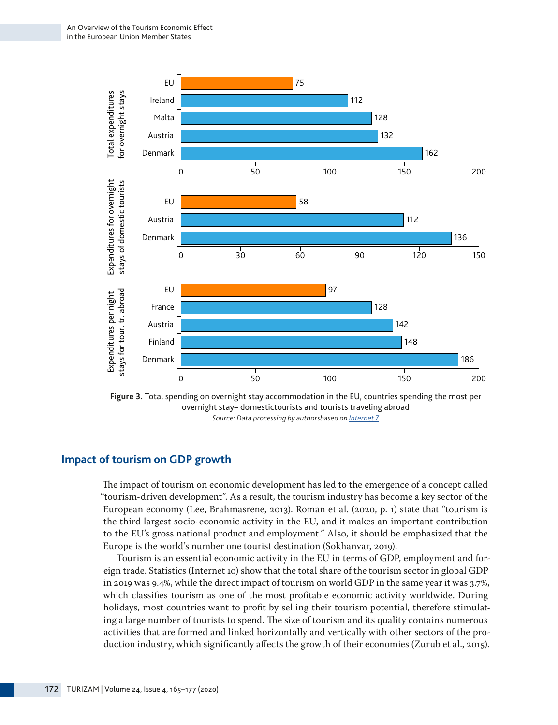

**Figure 3.** Total spending on overnight stay accommodation in the EU, countries spending the most per overnight stay– domestictourists and tourists traveling abroad *Source: Data processing by authorsbased on [Internet 7](https://ec.europa.eu/eurostat/statistics-explained/pdfscache/34961.pdf )*

## **Impact of tourism on GDP growth**

The impact of tourism on economic development has led to the emergence of a concept called "tourism-driven development". As a result, the tourism industry has become a key sector of the European economy (Lee, Brahmasrene, 2013). Roman et al. (2020, p. 1) state that "tourism is the third largest socio-economic activity in the EU, and it makes an important contribution to the EU's gross national product and employment." Also, it should be emphasized that the Europe is the world's number one tourist destination (Sokhanvar, 2019).

Tourism is an essential economic activity in the EU in terms of GDP, employment and foreign trade. Statistics (Internet 10) show that the total share of the tourism sector in global GDP in 2019 was 9.4%, while the direct impact of tourism on world GDP in the same year it was 3.7%, which classifies tourism as one of the most profitable economic activity worldwide. During holidays, most countries want to profit by selling their tourism potential, therefore stimulating a large number of tourists to spend. The size of tourism and its quality contains numerous activities that are formed and linked horizontally and vertically with other sectors of the pro-<br>duction industry, which significantly affects the growth of their economies (Zurub et al., 2015).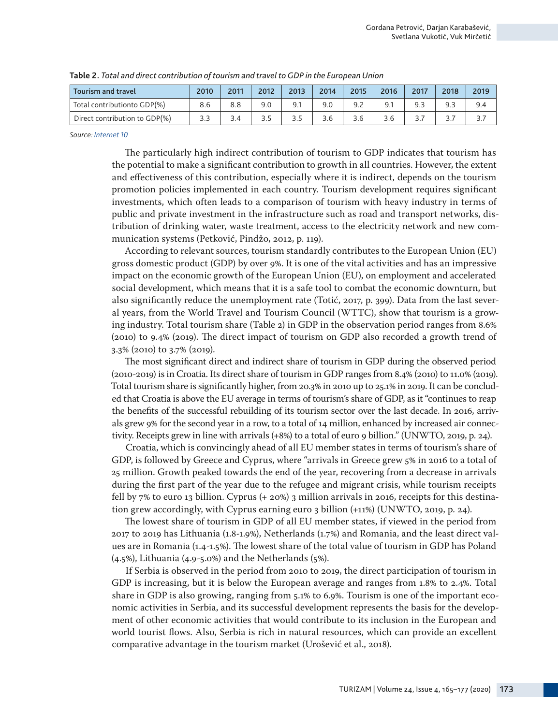| Tourism and travel            | 2010 | 2011 | 2012 | 2013 | 2014 | 2015 | 2016 | 2017 | 2018 | 2019 |
|-------------------------------|------|------|------|------|------|------|------|------|------|------|
| Total contributionto GDP(%)   | 8.6  | 8.8  | 9.0  | 9.1  |      |      |      |      |      | 9.4  |
| Direct contribution to GDP(%) |      |      |      |      | 3.6  | 3.6  | 3.6  |      |      |      |

**Table 2.** *Total and direct contribution of tourism and travel to GDP in the European Union*

*Source: [Internet 10](https://www.wttc.org/datagateway)*

The particularly high indirect contribution of tourism to GDP indicates that tourism has the potential to make a significant contribution to growth in all countries. However, the extent and effectiveness of this contribution, especially where it is indirect, depends on the tourism promotion policies implemented in each country. Tourism development requires significant investments, which often leads to a comparison of tourism with heavy industry in terms of public and private investment in the infrastructure such as road and transport networks, distribution of drinking water, waste treatment, access to the electricity network and new communication systems (Petković, Pindžo, 2012, p. 119).

According to relevant sources, tourism standardly contributes to the European Union (EU) gross domestic product (GDP) by over 9%. It is one of the vital activities and has an impressive impact on the economic growth of the European Union (EU), on employment and accelerated social development, which means that it is a safe tool to combat the economic downturn, but also significantly reduce the unemployment rate (Totić, 2017, p. 399). Data from the last several years, from the World Travel and Tourism Council (WTTC), show that tourism is a growing industry. Total tourism share (Table 2) in GDP in the observation period ranges from 8.6% (2010) to 9.4% (2019). The direct impact of tourism on GDP also recorded a growth trend of 3.3% (2010) to 3.7% (2019).

The most significant direct and indirect share of tourism in GDP during the observed period (2010-2019) is in Croatia. Its direct share of tourism in GDP ranges from 8.4% (2010) to 11.0% (2019). Total tourism share is significantly higher, from 20.3% in 2010 up to 25.1% in 2019. It can be concluded that Croatia is above the EU average in terms of tourism's share of GDP, as it "continues to reap the benefits of the successful rebuilding of its tourism sector over the last decade. In 2016, arrivals grew 9% for the second year in a row, to a total of 14 million, enhanced by increased air connectivity. Receipts grew in line with arrivals (+8%) to a total of euro 9 billion." (UNWTO, 2019, p. 24).

Croatia, which is convincingly ahead of all EU member states in terms of tourism's share of GDP, is followed by Greece and Cyprus, where "arrivals in Greece grew 5% in 2016 to a total of 25 million. Growth peaked towards the end of the year, recovering from a decrease in arrivals during the first part of the year due to the refugee and migrant crisis, while tourism receipts fell by 7% to euro 13 billion. Cyprus (+ 20%) 3 million arrivals in 2016, receipts for this destination grew accordingly, with Cyprus earning euro 3 billion (+11%) (UNWTO, 2019, p. 24).

The lowest share of tourism in GDP of all EU member states, if viewed in the period from 2017 to 2019 has Lithuania (1.8-1.9%), Netherlands (1.7%) and Romania, and the least direct values are in Romania (1.4-1.5%). The lowest share of the total value of tourism in GDP has Poland (4.5%), Lithuania (4.9-5.0%) and the Netherlands (5%).

If Serbia is observed in the period from 2010 to 2019, the direct participation of tourism in GDP is increasing, but it is below the European average and ranges from 1.8% to 2.4%. Total share in GDP is also growing, ranging from 5.1% to 6.9%. Tourism is one of the important economic activities in Serbia, and its successful development represents the basis for the development of other economic activities that would contribute to its inclusion in the European and world tourist flows. Also, Serbia is rich in natural resources, which can provide an excellent comparative advantage in the tourism market (Urošević et al., 2018).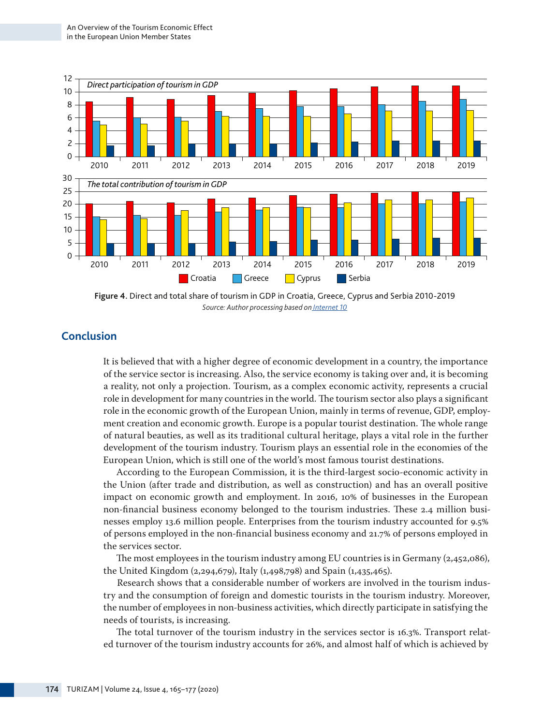

**Figure 4.** Direct and total share of tourism in GDP in Croatia, Greece, Cyprus and Serbia 2010-2019 *Source: Author processing based on [Internet 10](https://www.wttc.org/datagateway)*

# **Conclusion**

It is believed that with a higher degree of economic development in a country, the importance of the service sector is increasing. Also, the service economy is taking over and, it is becoming a reality, not only a projection. Tourism, as a complex economic activity, represents a crucial role in development for many countries in the world. The tourism sector also plays a significant role in the economic growth of the European Union, mainly in terms of revenue, GDP, employment creation and economic growth. Europe is a popular tourist destination. The whole range of natural beauties, as well as its traditional cultural heritage, plays a vital role in the further development of the tourism industry. Tourism plays an essential role in the economies of the European Union, which is still one of the world's most famous tourist destinations.

According to the European Commission, it is the third-largest socio-economic activity in the Union (after trade and distribution, as well as construction) and has an overall positive impact on economic growth and employment. In 2016, 10% of businesses in the European non-financial business economy belonged to the tourism industries. These 2.4 million businesses employ 13.6 million people. Enterprises from the tourism industry accounted for 9.5% of persons employed in the non-financial business economy and 21.7% of persons employed in the services sector.

The most employees in the tourism industry among EU countries is in Germany (2,452,086), the United Kingdom (2,294,679), Italy (1,498,798) and Spain (1,435,465).

Research shows that a considerable number of workers are involved in the tourism industry and the consumption of foreign and domestic tourists in the tourism industry. Moreover, the number of employees in non-business activities, which directly participate in satisfying the needs of tourists, is increasing.

The total turnover of the tourism industry in the services sector is 16.3%. Transport related turnover of the tourism industry accounts for 26%, and almost half of which is achieved by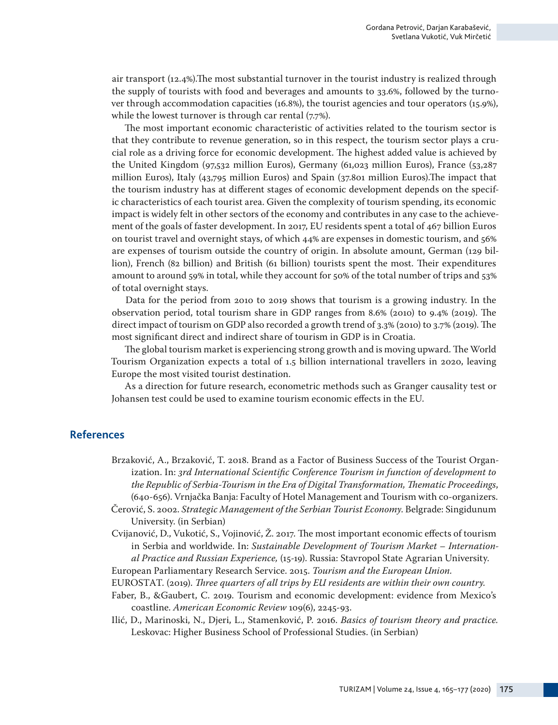air transport (12.4%).The most substantial turnover in the tourist industry is realized through the supply of tourists with food and beverages and amounts to 33.6%, followed by the turnover through accommodation capacities (16.8%), the tourist agencies and tour operators (15.9%), while the lowest turnover is through car rental (7.7%).

The most important economic characteristic of activities related to the tourism sector is that they contribute to revenue generation, so in this respect, the tourism sector plays a crucial role as a driving force for economic development. The highest added value is achieved by the United Kingdom (97,532 million Euros), Germany (61,023 million Euros), France (53,287 million Euros), Italy (43,795 million Euros) and Spain (37.801 million Euros).The impact that the tourism industry has at different stages of economic development depends on the specific characteristics of each tourist area. Given the complexity of tourism spending, its economic impact is widely felt in other sectors of the economy and contributes in any case to the achievement of the goals of faster development. In 2017, EU residents spent a total of 467 billion Euros on tourist travel and overnight stays, of which 44% are expenses in domestic tourism, and 56% are expenses of tourism outside the country of origin. In absolute amount, German (129 billion), French (82 billion) and British (61 billion) tourists spent the most. Their expenditures amount to around 59% in total, while they account for 50% of the total number of trips and 53% of total overnight stays.

Data for the period from 2010 to 2019 shows that tourism is a growing industry. In the observation period, total tourism share in GDP ranges from 8.6% (2010) to 9.4% (2019). The direct impact of tourism on GDP also recorded a growth trend of 3.3% (2010) to 3.7% (2019). The most significant direct and indirect share of tourism in GDP is in Croatia.

The global tourism market is experiencing strong growth and is moving upward. The World Tourism Organization expects a total of 1.5 billion international travellers in 2020, leaving Europe the most visited tourist destination.

As a direction for future research, econometric methods such as Granger causality test or Johansen test could be used to examine tourism economic effects in the EU.

#### **References**

- Brzaković, A., Brzaković, T. 2018. Brand as a Factor of Business Success of the Tourist Organization. In: *3rd International Scientific Conference Tourism in function of development to the Republic of Serbia-Tourism in the Era of Digital Transformation, Thematic Proceedings*, (640-656). Vrnjačka Banja: Faculty of Hotel Management and Tourism with co-organizers.
- Čerović, S. 2002. *Strategic Management of the Serbian Tourist Economy*. Belgrade: Singidunum University. (in Serbian)
- Cvijanović, D., Vukotić, S., Vojinović, Ž. 2017. The most important economic effects of tourism in Serbia and worldwide. In: *Sustainable Development of Tourism Market – International Practice and Russian Experience,* (15-19). Russia: Stavropol State Agrarian University.
- European Parliamentary Research Service. 2015. *Tourism and the European Union.*

EUROSTAT. (2019). *Three quarters of all trips by EU residents are within their own country.* 

- Faber, B., &Gaubert, C. 2019. Tourism and economic development: evidence from Mexico's coastline. *American Economic Review* 109(6), 2245-93.
- Ilić, D., Marinoski, N., Djeri, L., Stamenković, P. 2016. *Basics of tourism theory and practice.* Leskovac: Higher Business School of Professional Studies. (in Serbian)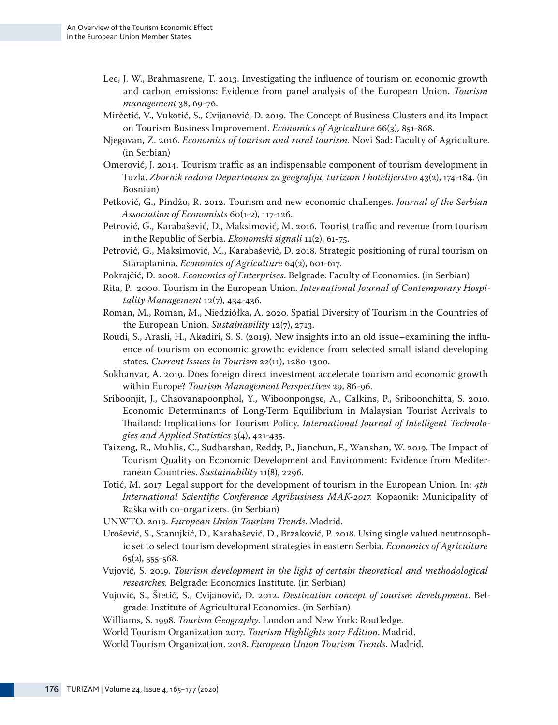- Lee, J. W., Brahmasrene, T. 2013. Investigating the influence of tourism on economic growth and carbon emissions: Evidence from panel analysis of the European Union. *Tourism management* 38, 69-76.
- Mirčetić, V., Vukotić, S., Cvijanović, D. 2019. The Concept of Business Clusters and its Impact on Tourism Business Improvement. *Economics of Agriculture* 66(3), 851-868.
- Nјegovan, Z. 2016. *Economics of tourism and rural tourism.* Novi Sad: Faculty of Agriculture. (in Serbian)
- Omerović, J. 2014. Tourism traffic as an indispensable component of tourism development in Tuzla. *Zbornik radova Departmana za geografiju, turizam I hotelijerstvo* 43(2), 174-184. (in Bosnian)
- Petković, G., Pindžo, R. 2012. Tourism and new economic challenges. *Journal of the Serbian Association of Economists* 60(1-2), 117-126.
- Petrović, G., Karabašević, D., Maksimović, M. 2016. Tourist traffic and revenue from tourism in the Republic of Serbia. *Ekonomski signali* 11(2), 61-75.
- Petrović, G., Maksimović, M., Karabašević, D. 2018. Strategic positioning of rural tourism on Staraplanina. *Economics of Agriculture* 64(2), 601-617.
- Pokrajčić, D. 2008. *Economics of Enterprises*. Belgrade: Faculty of Economics. (in Serbian)
- Rita, P. 2000. Tourism in the European Union. *International Journal of Contemporary Hospitality Management* 12(7), 434-436.
- Roman, M., Roman, M., Niedziółka, A. 2020. Spatial Diversity of Tourism in the Countries of the European Union. *Sustainability* 12(7), 2713.
- Roudi, S., Arasli, H., Akadiri, S. S. (2019). New insights into an old issue–examining the influence of tourism on economic growth: evidence from selected small island developing states. *Current Issues in Tourism* 22(11), 1280-1300.
- Sokhanvar, A. 2019. Does foreign direct investment accelerate tourism and economic growth within Europe? *Tourism Management Perspectives* 29, 86-96.
- Sriboonjit, Ј., Chaovanapoonphol, Y., Wiboonpongse, A., Calkins, P., Sriboonchitta, S. 2010. Economic Determinants of Long-Term Equilibrium in Malaysian Tourist Arrivals to Thailand: Implications for Tourism Policy. *International Journal of Intelligent Technologies and Applied Statistics* 3(4), 421-435.
- Taizeng, R., Muhlis, C., Sudharshan, Reddy, P., Jianchun, F., Wanshan, W. 2019. The Impact of Tourism Quality on Economic Development and Environment: Evidence from Mediterranean Countries. *Sustainability* 11(8), 2296.
- Totić, M. 2017. Legal support for the development of tourism in the European Union. In: *4th International Scientific Conference Agribusiness MAK-2017.* Kopaonik: Municipality of Raška with co-organizers. (in Serbian)
- UNWTO. 2019. *European Union Tourism Trends*. Madrid.
- Urošević, S., Stanujkić, D., Karabašević, D., Brzaković, P. 2018. Using single valued neutrosophic set to select tourism development strategies in eastern Serbia. *Economics of Agriculture* 65(2), 555-568.
- Vujović, S. 2019. *Tourism development in the light of certain theoretical and methodological researches.* Belgrade: Economics Institute. (in Serbian)
- Vujović, S., Štetić, S., Cvijanović, D. 2012. *Destination concept of tourism development*. Belgrade: Institute of Agricultural Economics. (in Serbian)
- Williams, S. 1998. *Tourism Geography*. London and New York: Routledge.
- World Tourism Organization 2017. *Tourism Highlights 2017 Edition*. Madrid.
- World Tourism Organization. 2018. *European Union Tourism Trends.* Madrid.